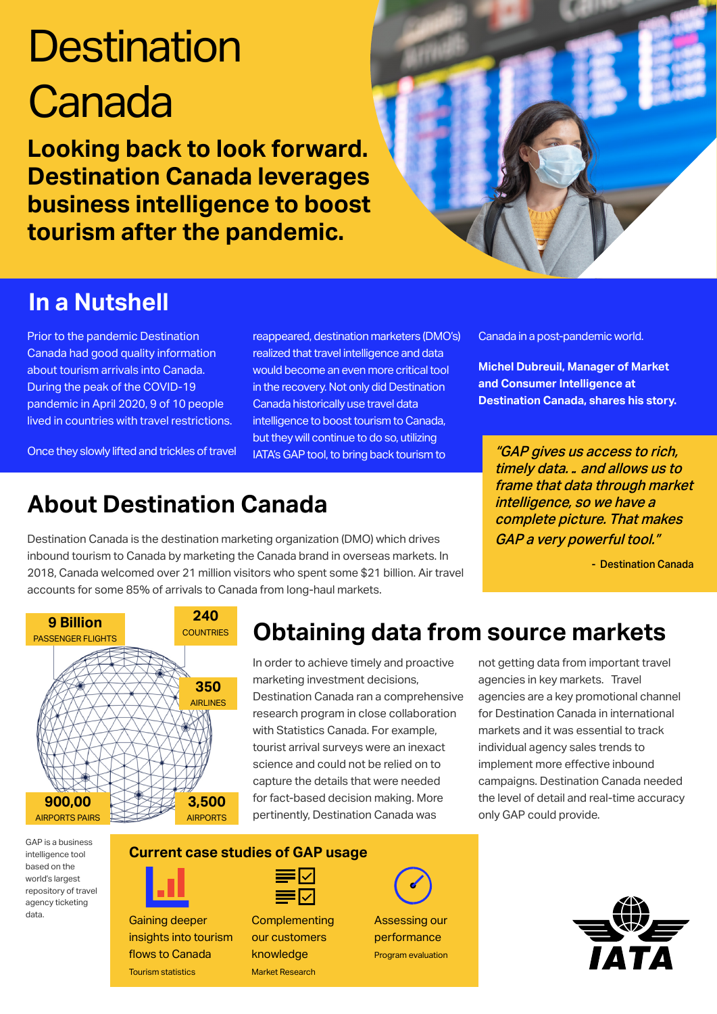## **Destination Canada**

**Looking back to look forward. Destination Canada leverages business intelligence to boost tourism after the pandemic.**



## **In a Nutshell**

Prior to the pandemic Destination Canada had good quality information about tourism arrivals into Canada. During the peak of the COVID-19 pandemic in April 2020, 9 of 10 people lived in countries with travel restrictions.

Once they slowly lifted and trickles of travel

**About Destination Canada**

Destination Canada is the destination marketing organization (DMO) which drives inbound tourism to Canada by marketing the Canada brand in overseas markets. In 2018, Canada welcomed over 21 million visitors who spent some \$21 billion. Air travel

reappeared, destination marketers (DMO's) realized that travel intelligence and data would become an even more critical tool in the recovery. Not only did Destination Canada historically use travel data intelligence to boost tourism to Canada, but they will continue to do so, utilizing IATA's GAP tool, to bring back tourism to

Canada in a post-pandemic world.

**Michel Dubreuil, Manager of Market and Consumer Intelligence at Destination Canada, shares his story.**

"GAP gives us access to rich, timely data… and allows us to frame that data through market intelligence, so we have a complete picture. That makes GAP a very powerful tool."

- Destination Canada



## **Obtaining data from source markets**

In order to achieve timely and proactive marketing investment decisions, Destination Canada ran a comprehensive research program in close collaboration with Statistics Canada. For example, tourist arrival surveys were an inexact science and could not be relied on to capture the details that were needed for fact-based decision making. More pertinently, Destination Canada was

not getting data from important travel agencies in key markets. Travel agencies are a key promotional channel for Destination Canada in international markets and it was essential to track individual agency sales trends to implement more effective inbound campaigns. Destination Canada needed the level of detail and real-time accuracy only GAP could provide.

GAP is a business intelligence tool based on the world's largest repository of travel agency ticketing data.



Gaining deeper insights into tourism flows to Canada Tourism statistics



**Current case studies of GAP usage**

**Complementing** our customers knowledge Market Research

Assessing our performance Program evaluation